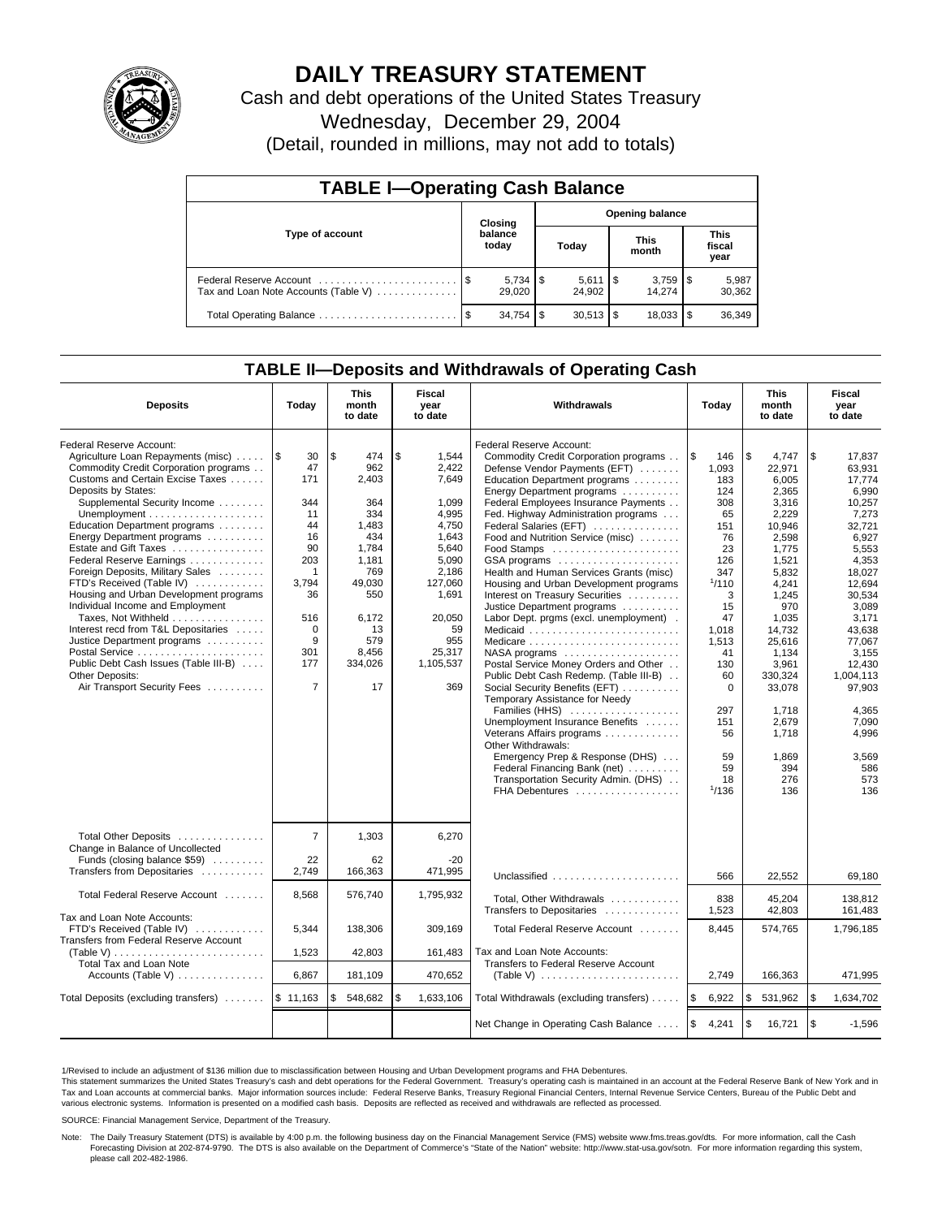

# **DAILY TREASURY STATEMENT**

Cash and debt operations of the United States Treasury Wednesday, December 29, 2004

(Detail, rounded in millions, may not add to totals)

| <b>TABLE I-Operating Cash Balance</b> |                                   |                  |      |                              |  |                                 |                               |                 |  |
|---------------------------------------|-----------------------------------|------------------|------|------------------------------|--|---------------------------------|-------------------------------|-----------------|--|
|                                       | <b>Opening balance</b><br>Closing |                  |      |                              |  |                                 |                               |                 |  |
| Type of account                       |                                   | balance<br>today |      | Today                        |  | <b>This</b><br>month            | <b>This</b><br>fiscal<br>year |                 |  |
| Tax and Loan Note Accounts (Table V)  |                                   | 29,020           |      | $5,611$ $\sqrt{5}$<br>24.902 |  | $3,759$ $\frac{1}{3}$<br>14.274 |                               | 5,987<br>30,362 |  |
|                                       |                                   | 34.754           | - \$ | $30,513$ \$                  |  |                                 |                               | 36,349          |  |

### **TABLE II—Deposits and Withdrawals of Operating Cash**

| <b>Deposits</b>                                                                                                                                                                                                                                                                                                                                                                                                                                                                                                                                                                                                                                               | Today                                                                                                                                              | This<br>month<br>to date                                                                                                                          | Fiscal<br>year<br>to date                                                                                                                                             | Withdrawals                                                                                                                                                                                                                                                                                                                                                                                                                                                                                                                                                                                                                                                                                                                                                                                                                                                                                                                                                                            | Today                                                                                                                                                                                                            | This<br>month<br>to date                                                                                                                                                                                                                                        | Fiscal<br>year<br>to date                                                                                                                                                                                                                                                |
|---------------------------------------------------------------------------------------------------------------------------------------------------------------------------------------------------------------------------------------------------------------------------------------------------------------------------------------------------------------------------------------------------------------------------------------------------------------------------------------------------------------------------------------------------------------------------------------------------------------------------------------------------------------|----------------------------------------------------------------------------------------------------------------------------------------------------|---------------------------------------------------------------------------------------------------------------------------------------------------|-----------------------------------------------------------------------------------------------------------------------------------------------------------------------|----------------------------------------------------------------------------------------------------------------------------------------------------------------------------------------------------------------------------------------------------------------------------------------------------------------------------------------------------------------------------------------------------------------------------------------------------------------------------------------------------------------------------------------------------------------------------------------------------------------------------------------------------------------------------------------------------------------------------------------------------------------------------------------------------------------------------------------------------------------------------------------------------------------------------------------------------------------------------------------|------------------------------------------------------------------------------------------------------------------------------------------------------------------------------------------------------------------|-----------------------------------------------------------------------------------------------------------------------------------------------------------------------------------------------------------------------------------------------------------------|--------------------------------------------------------------------------------------------------------------------------------------------------------------------------------------------------------------------------------------------------------------------------|
| Federal Reserve Account:<br>Agriculture Loan Repayments (misc)<br>Commodity Credit Corporation programs<br>Customs and Certain Excise Taxes<br>Deposits by States:<br>Supplemental Security Income<br>Education Department programs<br>Energy Department programs<br>Estate and Gift Taxes<br>Federal Reserve Earnings<br>Foreign Deposits, Military Sales<br>FTD's Received (Table IV)<br>Housing and Urban Development programs<br>Individual Income and Employment<br>Taxes, Not Withheld<br>Interest recd from T&L Depositaries<br>Justice Department programs<br>Public Debt Cash Issues (Table III-B)<br>Other Deposits:<br>Air Transport Security Fees | l\$<br>30<br>47<br>171<br>344<br>11<br>44<br>16<br>90<br>203<br>$\mathbf 1$<br>3,794<br>36<br>516<br>$\Omega$<br>9<br>301<br>177<br>$\overline{7}$ | \$<br>474<br>962<br>2,403<br>364<br>334<br>1,483<br>434<br>1,784<br>1,181<br>769<br>49,030<br>550<br>6.172<br>13<br>579<br>8,456<br>334,026<br>17 | \$<br>1.544<br>2,422<br>7,649<br>1.099<br>4,995<br>4.750<br>1.643<br>5.640<br>5,090<br>2,186<br>127,060<br>1,691<br>20,050<br>59<br>955<br>25,317<br>1,105,537<br>369 | Federal Reserve Account:<br>Commodity Credit Corporation programs<br>Defense Vendor Payments (EFT)<br>Education Department programs<br>Energy Department programs<br>Federal Employees Insurance Payments<br>Fed. Highway Administration programs<br>Federal Salaries (EFT)<br>Food and Nutrition Service (misc)<br>Food Stamps<br>GSA programs<br>Health and Human Services Grants (misc)<br>Housing and Urban Development programs<br>Interest on Treasury Securities<br>Justice Department programs<br>Labor Dept. prgms (excl. unemployment).<br>Medicaid<br>Medicare<br>NASA programs<br>Postal Service Money Orders and Other<br>Public Debt Cash Redemp. (Table III-B)<br>Social Security Benefits (EFT)<br>Temporary Assistance for Needy<br>Families (HHS)<br>Unemployment Insurance Benefits<br>Veterans Affairs programs<br>Other Withdrawals:<br>Emergency Prep & Response (DHS)<br>Federal Financing Bank (net)<br>Transportation Security Admin. (DHS)<br>FHA Debentures | $\sqrt{3}$<br>146<br>1,093<br>183<br>124<br>308<br>65<br>151<br>76<br>23<br>126<br>347<br>1/110<br>3<br>15<br>47<br>1,018<br>1,513<br>41<br>130<br>60<br>$\Omega$<br>297<br>151<br>56<br>59<br>59<br>18<br>1/136 | l \$<br>4.747<br>22,971<br>6,005<br>2.365<br>3,316<br>2,229<br>10.946<br>2,598<br>1,775<br>1,521<br>5,832<br>4,241<br>1,245<br>970<br>1.035<br>14,732<br>25,616<br>1,134<br>3,961<br>330.324<br>33,078<br>1,718<br>2,679<br>1.718<br>1.869<br>394<br>276<br>136 | \$<br>17.837<br>63.931<br>17.774<br>6.990<br>10,257<br>7,273<br>32.721<br>6.927<br>5,553<br>4,353<br>18,027<br>12,694<br>30.534<br>3.089<br>3.171<br>43,638<br>77,067<br>3,155<br>12.430<br>1.004.113<br>97,903<br>4,365<br>7,090<br>4.996<br>3,569<br>586<br>573<br>136 |
| Total Other Deposits<br>Change in Balance of Uncollected<br>Funds (closing balance \$59)<br>Transfers from Depositaries<br>Total Federal Reserve Account                                                                                                                                                                                                                                                                                                                                                                                                                                                                                                      | $\overline{7}$<br>22<br>2,749<br>8,568                                                                                                             | 1,303<br>62<br>166,363<br>576,740                                                                                                                 | 6,270<br>$-20$<br>471,995<br>1,795,932                                                                                                                                | Unclassified<br>Total, Other Withdrawals                                                                                                                                                                                                                                                                                                                                                                                                                                                                                                                                                                                                                                                                                                                                                                                                                                                                                                                                               | 566<br>838                                                                                                                                                                                                       | 22,552<br>45.204                                                                                                                                                                                                                                                | 69,180<br>138,812                                                                                                                                                                                                                                                        |
| Tax and Loan Note Accounts:<br>FTD's Received (Table IV)<br>Transfers from Federal Reserve Account<br>Total Tax and Loan Note                                                                                                                                                                                                                                                                                                                                                                                                                                                                                                                                 | 5,344<br>1,523                                                                                                                                     | 138,306<br>42,803                                                                                                                                 | 309,169<br>161,483                                                                                                                                                    | Transfers to Depositaries<br>Total Federal Reserve Account<br>Tax and Loan Note Accounts:<br>Transfers to Federal Reserve Account                                                                                                                                                                                                                                                                                                                                                                                                                                                                                                                                                                                                                                                                                                                                                                                                                                                      | 1,523<br>8,445                                                                                                                                                                                                   | 42,803<br>574,765                                                                                                                                                                                                                                               | 161,483<br>1,796,185                                                                                                                                                                                                                                                     |
| Accounts (Table V)                                                                                                                                                                                                                                                                                                                                                                                                                                                                                                                                                                                                                                            | 6.867                                                                                                                                              | 181,109                                                                                                                                           | 470.652                                                                                                                                                               | (Table V) $\ldots \ldots \ldots \ldots \ldots \ldots \ldots$                                                                                                                                                                                                                                                                                                                                                                                                                                                                                                                                                                                                                                                                                                                                                                                                                                                                                                                           | 2.749                                                                                                                                                                                                            | 166,363                                                                                                                                                                                                                                                         | 471,995                                                                                                                                                                                                                                                                  |
| Total Deposits (excluding transfers)                                                                                                                                                                                                                                                                                                                                                                                                                                                                                                                                                                                                                          | \$11,163                                                                                                                                           | \$<br>548,682                                                                                                                                     | \$<br>1,633,106                                                                                                                                                       | Total Withdrawals (excluding transfers)                                                                                                                                                                                                                                                                                                                                                                                                                                                                                                                                                                                                                                                                                                                                                                                                                                                                                                                                                | ۱\$<br>6,922                                                                                                                                                                                                     | ۱\$<br>531,962                                                                                                                                                                                                                                                  | \$<br>1,634,702                                                                                                                                                                                                                                                          |
|                                                                                                                                                                                                                                                                                                                                                                                                                                                                                                                                                                                                                                                               |                                                                                                                                                    |                                                                                                                                                   |                                                                                                                                                                       | Net Change in Operating Cash Balance                                                                                                                                                                                                                                                                                                                                                                                                                                                                                                                                                                                                                                                                                                                                                                                                                                                                                                                                                   | ا \$<br>4,241                                                                                                                                                                                                    | $\sqrt{3}$<br>16,721                                                                                                                                                                                                                                            | \$<br>$-1,596$                                                                                                                                                                                                                                                           |

1/Revised to include an adjustment of \$136 million due to misclassification between Housing and Urban Development programs and FHA Debentures.

This statement summarizes the United States Treasury's cash and debt operations for the Federal Government. Treasury's operating cash is maintained in an account at the Federal Reserve Bank of New York and in<br>Tax and Loan various electronic systems. Information is presented on a modified cash basis. Deposits are reflected as received and withdrawals are reflected as processed.

SOURCE: Financial Management Service, Department of the Treasury.

Note: The Daily Treasury Statement (DTS) is available by 4:00 p.m. the following business day on the Financial Management Service (FMS) website www.fms.treas.gov/dts. For more information, call the Cash Forecasting Division at 202-874-9790. The DTS is also available on the Department of Commerce's "State of the Nation" website: http://www.stat-usa.gov/sotn. For more information regarding this system,<br>please call 202-482-1